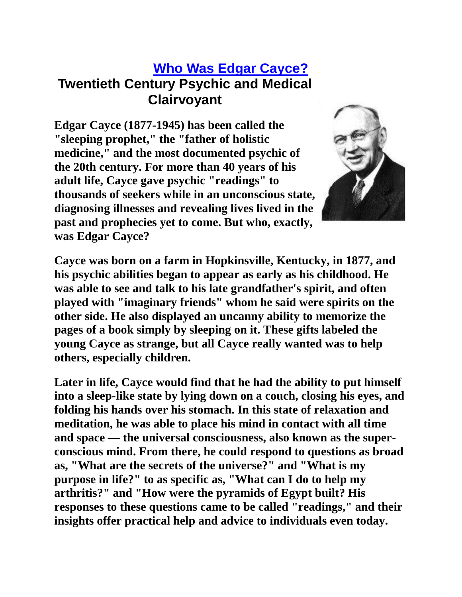## **[Who Was Edgar Cayce?](http://www.edgarcayce.org/are/edgarcayce.aspx) Twentieth Century Psychic and Medical Clairvoyant**

**Edgar Cayce (1877-1945) has been called the "sleeping prophet," the "father of holistic medicine," and the most documented psychic of the 20th century. For more than 40 years of his adult life, Cayce gave psychic "readings" to thousands of seekers while in an unconscious state, diagnosing illnesses and revealing lives lived in the past and prophecies yet to come. But who, exactly, was Edgar Cayce?**



**Cayce was born on a farm in Hopkinsville, Kentucky, in 1877, and his psychic abilities began to appear as early as his childhood. He was able to see and talk to his late grandfather's spirit, and often played with "imaginary friends" whom he said were spirits on the other side. He also displayed an uncanny ability to memorize the pages of a book simply by sleeping on it. These gifts labeled the young Cayce as strange, but all Cayce really wanted was to help others, especially children.**

**Later in life, Cayce would find that he had the ability to put himself into a sleep-like state by lying down on a couch, closing his eyes, and folding his hands over his stomach. In this state of relaxation and meditation, he was able to place his mind in contact with all time and space — the universal consciousness, also known as the superconscious mind. From there, he could respond to questions as broad as, "What are the secrets of the universe?" and "What is my purpose in life?" to as specific as, "What can I do to help my arthritis?" and "How were the pyramids of Egypt built? His responses to these questions came to be called "readings," and their insights offer practical help and advice to individuals even today.**